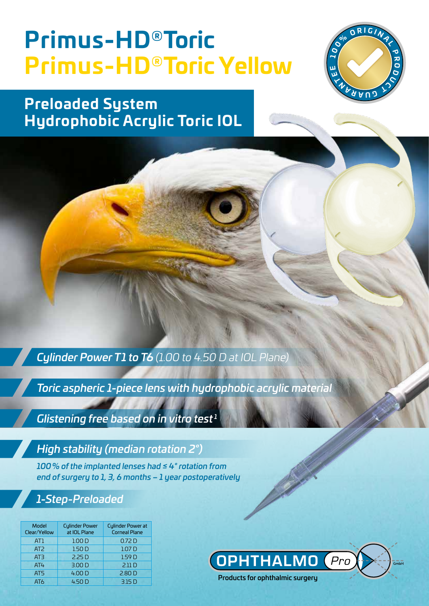# **Primus-HD®Toric Primus-HD®Toric Yellow**



**Preloaded System Hydrophobic Acrylic Toric IOL**

*Cylinder Power T1 to T6 (1.00 to 4.50 D at IOL Plane)*

*Toric aspheric 1-piece lens with hydrophobic acrylic material*

*Glistening free based on in vitro test <sup>1</sup>*

### *High stability (median rotation 2°)*

*100% of the implanted lenses had ≤ 4° rotation from end of surgery to 1, 3, 6 months – 1 year postoperatively*

### *1-Step-Preloaded*

| Model<br>Clear/Yellow | <b>Culinder Power</b><br>at IOL Plane | <b>Cylinder Power at</b><br><b>Corneal Plane</b> |
|-----------------------|---------------------------------------|--------------------------------------------------|
| AT1                   | 1.00 <sub>D</sub>                     | 0.72 <sub>D</sub>                                |
| AT <sub>2</sub>       | 1.50 <sub>D</sub>                     | 1.07 <sub>D</sub>                                |
| AT3                   | 2.25 <sub>D</sub>                     | 1.59 <sub>D</sub>                                |
| AT4                   | 3.00 <sub>D</sub>                     | 2.11D                                            |
| AT5                   | 4.00 D                                | 2.80 <sub>D</sub>                                |
| AT <sub>6</sub>       | 4.50 D                                | 3.15 D                                           |